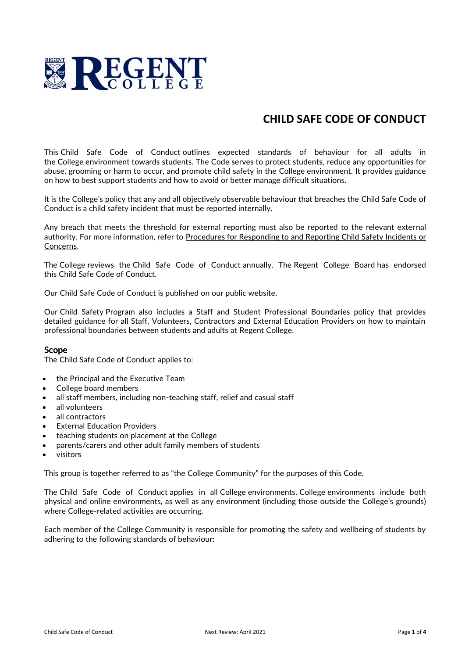

# **CHILD SAFE CODE OF CONDUCT**

This Child Safe Code of Conduct outlines expected standards of behaviour for all adults in the College environment towards students. The Code serves to protect students, reduce any opportunities for abuse, grooming or harm to occur, and promote child safety in the College environment. It provides guidance on how to best support students and how to avoid or better manage difficult situations.

It is the College's policy that any and all objectively observable behaviour that breaches the Child Safe Code of Conduct is a child safety incident that must be reported internally.

Any breach that meets the threshold for external reporting must also be reported to the relevant external authority. For more information, refer to Procedures for [Responding](https://regentcollege.complispaceprimary.com.au/module/217/page/147530df-0236-40cd-bd4a-c7b6fb01ca6b.md) to and Reporting Child Safety Incidents or [Concerns.](https://regentcollege.complispaceprimary.com.au/module/217/page/147530df-0236-40cd-bd4a-c7b6fb01ca6b.md)

The College reviews the Child Safe Code of Conduct annually. The Regent College Board has endorsed this Child Safe Code of Conduct.

Our Child Safe Code of Conduct is published on our public website.

Our Child Safety Program also includes a Staff and Student Professional Boundaries policy that provides detailed guidance for all Staff, Volunteers, Contractors and External Education Providers on how to maintain professional boundaries between students and adults at Regent College.

#### Scope

The Child Safe Code of Conduct applies to:

- the Principal and the Executive Team
- College board members
- all staff members, including non-teaching staff, relief and casual staff
- all volunteers
- all contractors
- **External Education Providers**
- teaching students on placement at the College
- parents/carers and other adult family members of students
- visitors

This group is together referred to as "the College Community" for the purposes of this Code.

The Child Safe Code of Conduct applies in all College environments. College environments include both physical and online environments, as well as any environment (including those outside the College's grounds) where College-related activities are occurring.

Each member of the College Community is responsible for promoting the safety and wellbeing of students by adhering to the following standards of behaviour: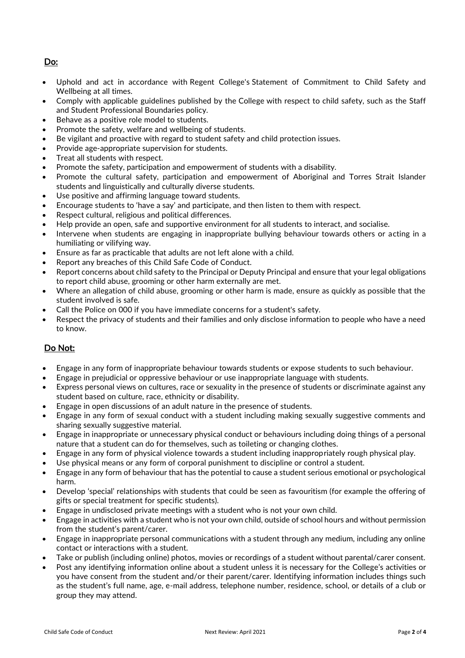## Do:

- Uphold and act in accordance with Regent College's Statement of Commitment to Child Safety and Wellbeing at all times.
- Comply with applicable guidelines published by the College with respect to child safety, such as the Staff and Student Professional Boundaries policy.
- Behave as a positive role model to students.
- Promote the safety, welfare and wellbeing of students.
- Be vigilant and proactive with regard to student safety and child protection issues.
- Provide age-appropriate supervision for students.
- Treat all students with respect.
- Promote the safety, participation and empowerment of students with a disability.
- Promote the cultural safety, participation and empowerment of Aboriginal and Torres Strait Islander students and linguistically and culturally diverse students.
- Use positive and affirming language toward students.
- Encourage students to 'have a say' and participate, and then listen to them with respect.
- Respect cultural, religious and political differences.
- Help provide an open, safe and supportive environment for all students to interact, and socialise.
- Intervene when students are engaging in inappropriate bullying behaviour towards others or acting in a humiliating or vilifying way.
- Ensure as far as practicable that adults are not left alone with a child.
- Report any breaches of this Child Safe Code of Conduct.
- Report concerns about child safety to the Principal or Deputy Principal and ensure that your legal obligations to report child abuse, grooming or other harm externally are met.
- Where an allegation of child abuse, grooming or other harm is made, ensure as quickly as possible that the student involved is safe.
- Call the Police on 000 if you have immediate concerns for a student's safety.
- Respect the privacy of students and their families and only disclose information to people who have a need to know.

## Do Not:

- Engage in any form of inappropriate behaviour towards students or expose students to such behaviour.
- Engage in prejudicial or oppressive behaviour or use inappropriate language with students.
- Express personal views on cultures, race or sexuality in the presence of students or discriminate against any student based on culture, race, ethnicity or disability.
- Engage in open discussions of an adult nature in the presence of students.
- Engage in any form of sexual conduct with a student including making sexually suggestive comments and sharing sexually suggestive material.
- Engage in inappropriate or unnecessary physical conduct or behaviours including doing things of a personal nature that a student can do for themselves, such as toileting or changing clothes.
- Engage in any form of physical violence towards a student including inappropriately rough physical play.
- Use physical means or any form of corporal punishment to discipline or control a student.
- Engage in any form of behaviour that has the potential to cause a student serious emotional or psychological harm.
- Develop 'special' relationships with students that could be seen as favouritism (for example the offering of gifts or special treatment for specific students).
- Engage in undisclosed private meetings with a student who is not your own child.
- Engage in activities with a student who is not your own child, outside of school hours and without permission from the student's parent/carer.
- Engage in inappropriate personal communications with a student through any medium, including any online contact or interactions with a student.
- Take or publish (including online) photos, movies or recordings of a student without parental/carer consent.
- Post any identifying information online about a student unless it is necessary for the College's activities or you have consent from the student and/or their parent/carer. Identifying information includes things such as the student's full name, age, e-mail address, telephone number, residence, school, or details of a club or group they may attend.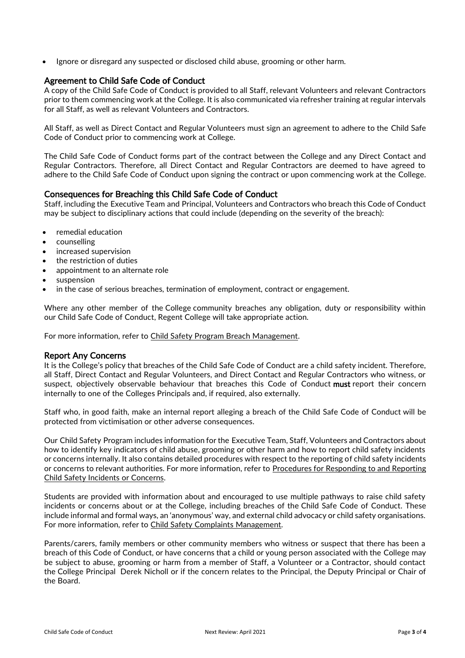• Ignore or disregard any suspected or disclosed child abuse, grooming or other harm.

#### Agreement to Child Safe Code of Conduct

A copy of the Child Safe Code of Conduct is provided to all Staff, relevant Volunteers and relevant Contractors prior to them commencing work at the College. It is also communicated via refresher training at regular intervals for all Staff, as well as relevant Volunteers and Contractors.

All Staff, as well as Direct Contact and Regular Volunteers must sign an agreement to adhere to the Child Safe Code of Conduct prior to commencing work at College.

The Child Safe Code of Conduct forms part of the contract between the College and any Direct Contact and Regular Contractors. Therefore, all Direct Contact and Regular Contractors are deemed to have agreed to adhere to the Child Safe Code of Conduct upon signing the contract or upon commencing work at the College.

### Consequences for Breaching this Child Safe Code of Conduct

Staff, including the Executive Team and Principal, Volunteers and Contractors who breach this Code of Conduct may be subject to disciplinary actions that could include (depending on the severity of the breach):

- remedial education
- counselling
- increased supervision
- the restriction of duties
- appointment to an alternate role
- suspension
- in the case of serious breaches, termination of employment, contract or engagement.

Where any other member of the College community breaches any obligation, duty or responsibility within our Child Safe Code of Conduct, Regent College will take appropriate action.

For more information, refer to Child Safety Program Breach [Management.](https://regentcollege.complispaceprimary.com.au/module/217/page/3d0163a2-82d3-45d0-b9a7-e837162ca8c3.md)

#### Report Any Concerns

It is the College's policy that breaches of the Child Safe Code of Conduct are a child safety incident. Therefore, all Staff, Direct Contact and Regular Volunteers, and Direct Contact and Regular Contractors who witness, or suspect, objectively observable behaviour that breaches this Code of Conduct must report their concern internally to one of the Colleges Principals and, if required, also externally.

Staff who, in good faith, make an internal report alleging a breach of the Child Safe Code of Conduct will be protected from victimisation or other adverse consequences.

Our Child Safety Program includes information for the Executive Team, Staff, Volunteers and Contractors about how to identify key indicators of child abuse, grooming or other harm and how to report child safety incidents or concerns internally. It also contains detailed procedures with respect to the reporting of child safety incidents or concerns to relevant authorities. For more information, refer to Procedures for [Responding](https://regentcollege.complispaceprimary.com.au/module/217/page/147530df-0236-40cd-bd4a-c7b6fb01ca6b.md) to and Reporting Child Safety Incidents or [Concerns.](https://regentcollege.complispaceprimary.com.au/module/217/page/147530df-0236-40cd-bd4a-c7b6fb01ca6b.md)

Students are provided with information about and encouraged to use multiple pathways to raise child safety incidents or concerns about or at the College, including breaches of the Child Safe Code of Conduct. These include informal and formal ways, an 'anonymous' way, and external child advocacy or child safety organisations. For more information, refer to Child Safety Complaints [Management.](https://regentcollege.complispaceprimary.com.au/module/217/page/972e8eaf-642a-405b-9f45-0dc7da5ea5d4.md)

Parents/carers, family members or other community members who witness or suspect that there has been a breach of this Code of Conduct, or have concerns that a child or young person associated with the College may be subject to abuse, grooming or harm from a member of Staff, a Volunteer or a Contractor, should contact the College Principal Derek Nicholl or if the concern relates to the Principal, the Deputy Principal or Chair of the Board.